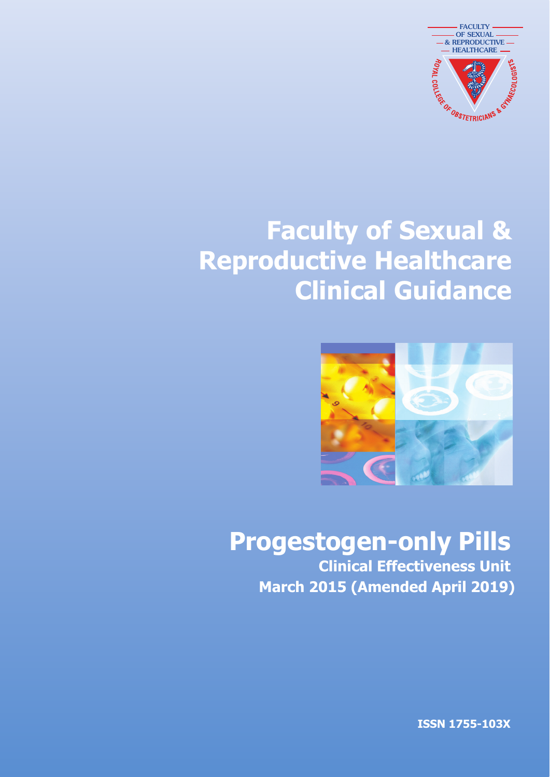

# **Faculty of Sexual & Reproductive Healthcare Clinical Guidance**



# **Progestogen-only Pills**

**Clinical Effectiveness Unit March 2015 (Amended April 2019)** 

**ISSN 1755-103X**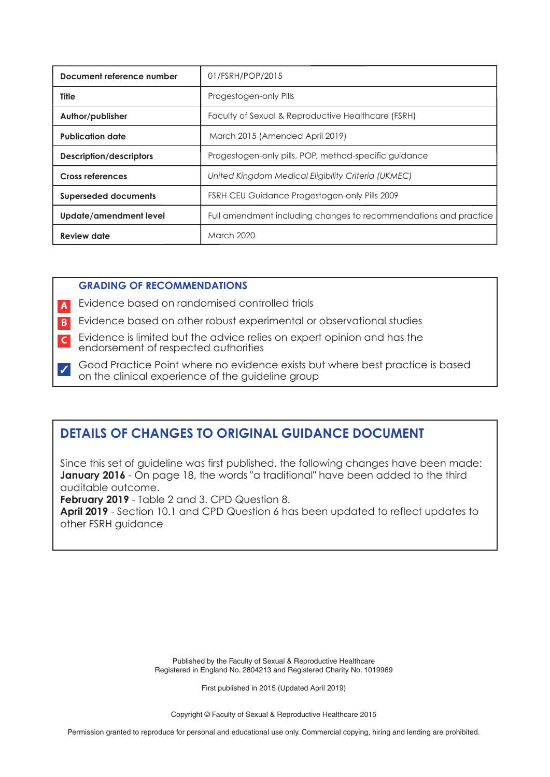| Document reference number   | 01/FSRH/POP/2015                                                 |  |  |
|-----------------------------|------------------------------------------------------------------|--|--|
| <b>Title</b>                | Progestogen-only Pills                                           |  |  |
| Author/publisher            | Faculty of Sexual & Reproductive Healthcare (FSRH)               |  |  |
| <b>Publication date</b>     | March 2015 (Amended April 2019)                                  |  |  |
| Description/descriptors     | Progestogen-only pills, POP, method-specific quidance            |  |  |
| <b>Cross references</b>     | United Kingdom Medical Eligibility Criteria (UKMEC)              |  |  |
| <b>Superseded documents</b> | FSRH CEU Guidance Progestogen-only Pills 2009                    |  |  |
| Update/amendment level      | Full amendment including changes to recommendations and practice |  |  |
| <b>Review date</b>          | <b>March 2020</b>                                                |  |  |

# **GRADING OF RECOMMENDATIONS**

Evidence based on randomised controlled trials **A**

- Evidence based on other robust experimental or observational studies **B**
- Evidence is limited but the advice relies on expert opinion and has the **C** endorsement of respected authorities
- Good Practice Point where no evidence exists but where best practice is based on the clinical experience of the guideline group ✓

# **DETAILS OF CHANGES TO ORIGINAL GUIDANCE DOCUMENT**

Since this set of guideline was first published, the following changes have been made: **January 2016** - On page 18, the words "a traditional" have been added to the third auditable outcome.

**February 2019** - Table 2 and 3. CPD Question 8.

**April 2019** - Section 10.1 and CPD Question 6 has been updated to reflect updates to other FSRH guidance

> Published by the Faculty of Sexual & Reproductive Healthcare Registered in England No. 2804213 and Registered Charity No. 1019969

> > First published in 2015 (Updated April 2019)

Copyright © Faculty of Sexual & Reproductive Healthcare 2015

Permission granted to reproduce for personal and educational use only. Commercial copying, hiring and lending are prohibited.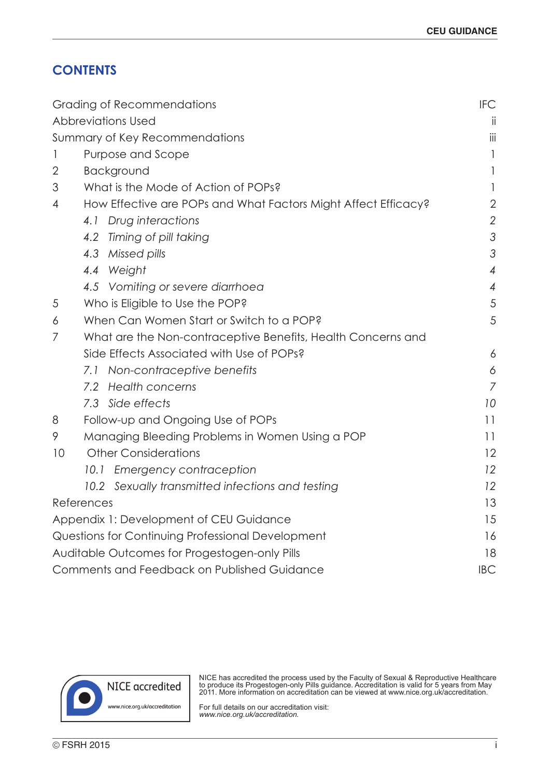# **CONTENTS**

| Grading of Recommendations                                          | <b>IFC</b>     |
|---------------------------------------------------------------------|----------------|
| <b>Abbreviations Used</b>                                           | ii             |
| Summary of Key Recommendations                                      | iii            |
| Purpose and Scope<br>1                                              | $\mathbf{1}$   |
| $\overline{2}$<br>Background                                        | 1              |
| What is the Mode of Action of POPs?<br>3                            | 1              |
| How Effective are POPs and What Factors Might Affect Efficacy?<br>4 | $\mathbf{2}$   |
| 4.1 Drug interactions                                               | $\overline{2}$ |
| 4.2 Timing of pill taking                                           | 3              |
| 4.3 Missed pills                                                    | $\mathcal{S}$  |
| 4.4 Weight                                                          | $\overline{4}$ |
| 4.5 Vomiting or severe diarrhoea                                    | $\overline{4}$ |
| Who is Eligible to Use the POP?<br>5                                | 5              |
| When Can Women Start or Switch to a POP?<br>6                       | 5              |
| 7<br>What are the Non-contraceptive Benefits, Health Concerns and   |                |
| Side Effects Associated with Use of POPs?                           | 6              |
| 7.1 Non-contraceptive benefits                                      | 6              |
| 7.2 Health concerns                                                 | $\overline{7}$ |
| 7.3 Side effects                                                    | 10             |
| Follow-up and Ongoing Use of POPs<br>8                              | 11             |
| 9<br>Managing Bleeding Problems in Women Using a POP                | 11             |
| <b>Other Considerations</b><br>10                                   | 12             |
| Emergency contraception<br>10.1                                     | 12             |
| 10.2 Sexually transmitted infections and testing                    | 12             |
| References                                                          | 13             |
| Appendix 1: Development of CEU Guidance                             | 15             |
| Questions for Continuing Professional Development                   | 16             |
| Auditable Outcomes for Progestogen-only Pills                       | 18             |
| Comments and Feedback on Published Guidance                         | <b>IBC</b>     |



NICE has accredited the process used by the Faculty of Sexual & Reproductive Healthcare to produce its Progestogen-only Pills guidance. Accreditation is valid for 5 years from May 2011. More information on accreditation can be viewed at www.nice.org.uk/accreditation.

For full details on our accreditation visit: *www.nice.org.uk/accreditation.*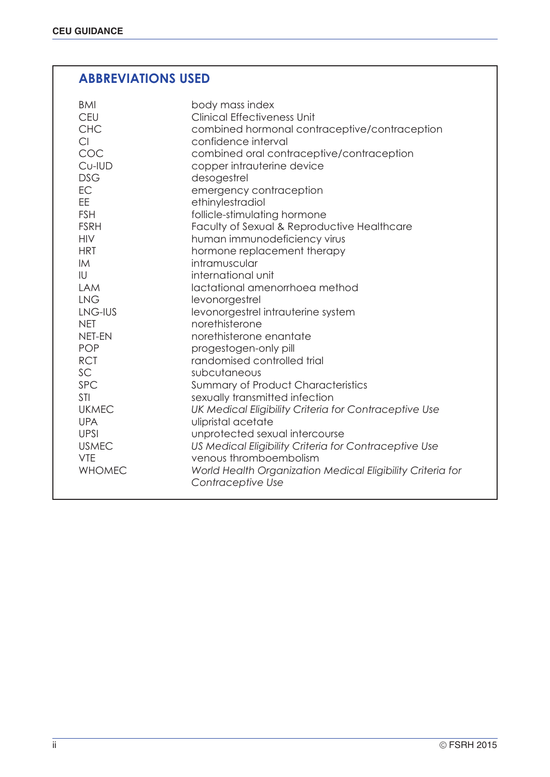# **ABBREVIATIONS USED**

| body mass index<br>BMI<br><b>CEU</b><br><b>Clinical Effectiveness Unit</b><br><b>CHC</b><br>combined hormonal contraceptive/contraception<br>Cl<br>confidence interval<br>COC<br>combined oral contraceptive/contraception<br>Cu-IUD<br>copper intrauterine device<br><b>DSG</b><br>desogestrel<br>EC<br>emergency contraception<br><b>EE</b><br>ethinylestradiol<br><b>FSH</b><br>follicle-stimulating hormone<br><b>FSRH</b><br>Faculty of Sexual & Reproductive Healthcare<br><b>HIV</b><br>human immunodeficiency virus<br><b>HRT</b><br>hormone replacement therapy<br>intramuscular<br><b>IM</b><br>IU<br>international unit<br><b>LAM</b><br>lactational amenorrhoea method<br><b>LNG</b><br>levonorgestrel<br>LNG-IUS<br>levonorgestrel intrauterine system<br>norethisterone<br><b>NET</b><br>norethisterone enantate<br><b>NET-EN</b><br><b>POP</b><br>progestogen-only pill<br><b>RCT</b><br>randomised controlled trial<br>SC<br>subcutaneous<br><b>SPC</b><br><b>Summary of Product Characteristics</b><br><b>STI</b><br>sexually transmitted infection<br><b>UKMEC</b><br>UK Medical Eligibility Criteria for Contraceptive Use<br>ulipristal acetate<br><b>UPA</b><br><b>UPSI</b><br>unprotected sexual intercourse<br><b>USMEC</b><br>US Medical Eligibility Criteria for Contraceptive Use<br><b>VTE</b><br>venous thromboembolism<br><b>WHOMEC</b><br>World Health Organization Medical Eligibility Criteria for<br>Contraceptive Use |  |
|---------------------------------------------------------------------------------------------------------------------------------------------------------------------------------------------------------------------------------------------------------------------------------------------------------------------------------------------------------------------------------------------------------------------------------------------------------------------------------------------------------------------------------------------------------------------------------------------------------------------------------------------------------------------------------------------------------------------------------------------------------------------------------------------------------------------------------------------------------------------------------------------------------------------------------------------------------------------------------------------------------------------------------------------------------------------------------------------------------------------------------------------------------------------------------------------------------------------------------------------------------------------------------------------------------------------------------------------------------------------------------------------------------------------------------------------------------|--|
|---------------------------------------------------------------------------------------------------------------------------------------------------------------------------------------------------------------------------------------------------------------------------------------------------------------------------------------------------------------------------------------------------------------------------------------------------------------------------------------------------------------------------------------------------------------------------------------------------------------------------------------------------------------------------------------------------------------------------------------------------------------------------------------------------------------------------------------------------------------------------------------------------------------------------------------------------------------------------------------------------------------------------------------------------------------------------------------------------------------------------------------------------------------------------------------------------------------------------------------------------------------------------------------------------------------------------------------------------------------------------------------------------------------------------------------------------------|--|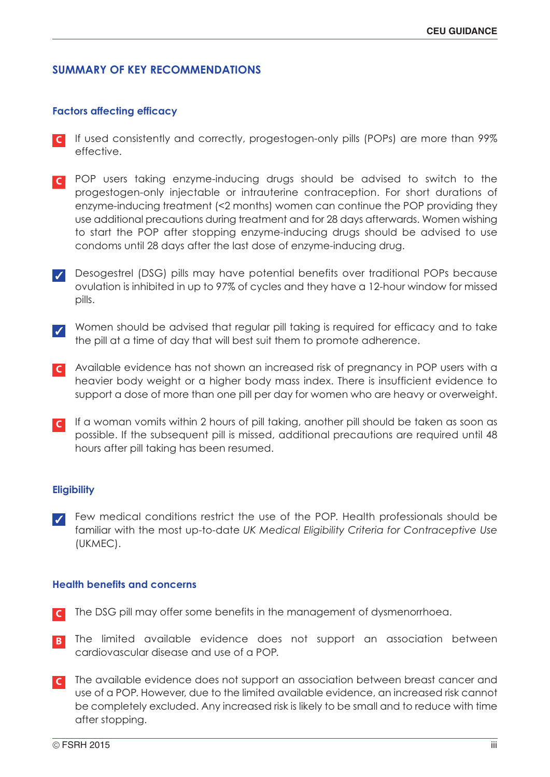# **SUMMARY OF KEY RECOMMENDATIONS**

# **Factors affecting efficacy**

- If used consistently and correctly, progestogen-only pills (POPs) are more than 99% effective. **C**
- POP users taking enzyme-inducing drugs should be advised to switch to the **C** progestogen-only injectable or intrauterine contraception. For short durations of enzyme-inducing treatment (<2 months) women can continue the POP providing they use additional precautions during treatment and for 28 days afterwards. Women wishing to start the POP after stopping enzyme-inducing drugs should be advised to use condoms until 28 days after the last dose of enzyme-inducing drug.
- Desogestrel (DSG) pills may have potential benefits over traditional POPs because ✓ ovulation is inhibited in up to 97% of cycles and they have a 12-hour window for missed pills.
- Women should be advised that regular pill taking is required for efficacy and to take the pill at a time of day that will best suit them to promote adherence. ✓
- Available evidence has not shown an increased risk of pregnancy in POP users with a **C** heavier body weight or a higher body mass index. There is insufficient evidence to support a dose of more than one pill per day for women who are heavy or overweight.
- If a woman vomits within 2 hours of pill taking, another pill should be taken as soon as **C** possible. If the subsequent pill is missed, additional precautions are required until 48 hours after pill taking has been resumed.

# **Eligibility**

Few medical conditions restrict the use of the POP. Health professionals should be familiar with the most up-to-date *UK Medical Eligibility Criteria for Contraceptive Use* (UKMEC). ✓

# **Health benefits and concerns**

- The DSG pill may offer some benefits in the management of dysmenorrhoea. **C**
- The limited available evidence does not support an association between cardiovascular disease and use of a POP. **B**
- The available evidence does not support an association between breast cancer and **C**use of a POP. However, due to the limited available evidence, an increased risk cannot be completely excluded. Any increased risk is likely to be small and to reduce with time after stopping.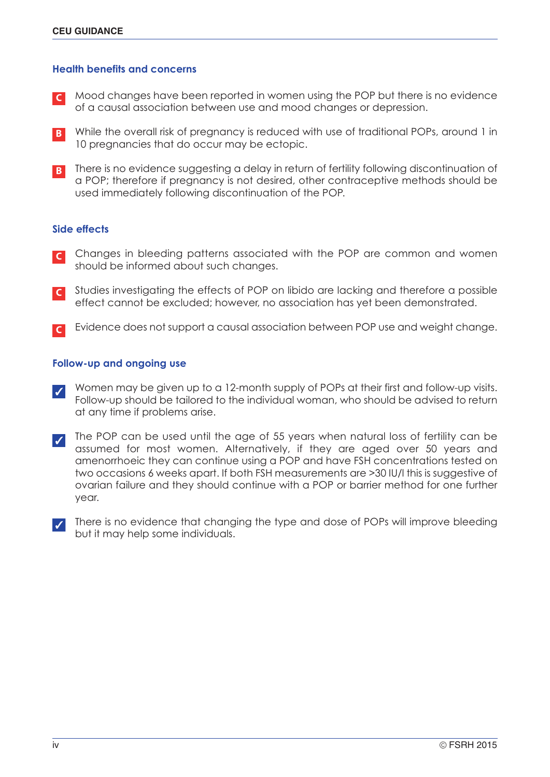## **Health benefits and concerns**

- Mood changes have been reported in women using the POP but there is no evidence of a causal association between use and mood changes or depression. **C**
- While the overall risk of pregnancy is reduced with use of traditional POPs, around 1 in **B** 10 pregnancies that do occur may be ectopic.
- **B** There is no evidence suggesting a delay in return of fertility following discontinuation of a POP; therefore if pregnancy is not desired, other contraceptive methods should be used immediately following discontinuation of the POP.

# **Side effects**

- Changes in bleeding patterns associated with the POP are common and women should be informed about such changes. **C**
- Studies investigating the effects of POP on libido are lacking and therefore a possible effect cannot be excluded; however, no association has yet been demonstrated. **C**
- Evidence does not support a causal association between POP use and weight change. **C**

# **Follow-up and ongoing use**

- Women may be given up to a 12-month supply of POPs at their first and follow-up visits. Follow-up should be tailored to the individual woman, who should be advised to return at any time if problems arise. ✓
- The POP can be used until the age of 55 years when natural loss of fertility can be assumed for most women. Alternatively, if they are aged over 50 years and amenorrhoeic they can continue using a POP and have FSH concentrations tested on two occasions 6 weeks apart. If both FSH measurements are >30 IU/l this is suggestive of ovarian failure and they should continue with a POP or barrier method for one further year. ✓
- There is no evidence that changing the type and dose of POPs will improve bleeding but it may help some individuals. ✓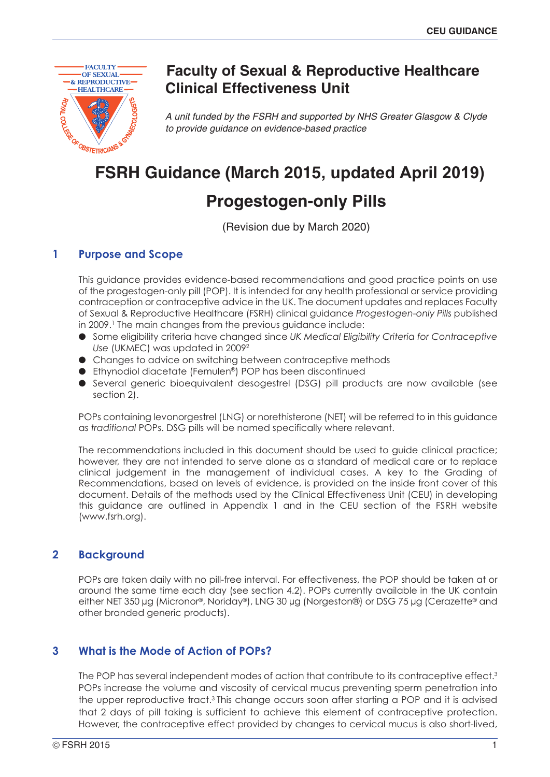

# **Faculty of Sexual & Reproductive Healthcare Clinical Effectiveness Unit**

*A unit funded by the FSRH and supported by NHS Greater Glasgow & Clyde to provide guidance on evidence-based practice*

# **FSRH Guidance (March 2015, updated April 2019)**

# **Progestogen-only Pills**

(Revision due by March 2020)

# **1 Purpose and Scope**

This guidance provides evidence-based recommendations and good practice points on use of the progestogen-only pill (POP). It is intended for any health professional or service providing contraception or contraceptive advice in the UK. The document updates and replaces Faculty of Sexual & Reproductive Healthcare (FSRH) clinical guidance *Progestogen-only Pills* published in 2009.<sup>1</sup> The main changes from the previous guidance include:

- Some eligibility criteria have changed since *UK Medical Eligibility Criteria for Contraceptive Use* (UKMEC) was updated in 20092
- Changes to advice on switching between contraceptive methods
- Ethynodiol diacetate (Femulen®) POP has been discontinued
- Several generic bioequivalent desogestrel (DSG) pill products are now available (see section 2).

POPs containing levonorgestrel (LNG) or norethisterone (NET) will be referred to in this guidance as *traditional* POPs. DSG pills will be named specifically where relevant.

The recommendations included in this document should be used to guide clinical practice; however, they are not intended to serve alone as a standard of medical care or to replace clinical judgement in the management of individual cases. A key to the Grading of Recommendations, based on levels of evidence, is provided on the inside front cover of this document. Details of the methods used by the Clinical Effectiveness Unit (CEU) in developing this guidance are outlined in Appendix 1 and in the CEU section of the FSRH website (www.fsrh.org).

# **2 Background**

POPs are taken daily with no pill-free interval. For effectiveness, the POP should be taken at or around the same time each day (see section 4.2). POPs currently available in the UK contain either NET 350 µg (Micronor®, Noriday®), LNG 30 µg (Norgeston®) or DSG 75 µg (Cerazette® and other branded generic products).

# **3 What is the Mode of Action of POPs?**

The POP has several independent modes of action that contribute to its contraceptive effect.<sup>3</sup> POPs increase the volume and viscosity of cervical mucus preventing sperm penetration into the upper reproductive tract.<sup>3</sup> This change occurs soon after starting a POP and it is advised that 2 days of pill taking is sufficient to achieve this element of contraceptive protection. However, the contraceptive effect provided by changes to cervical mucus is also short-lived,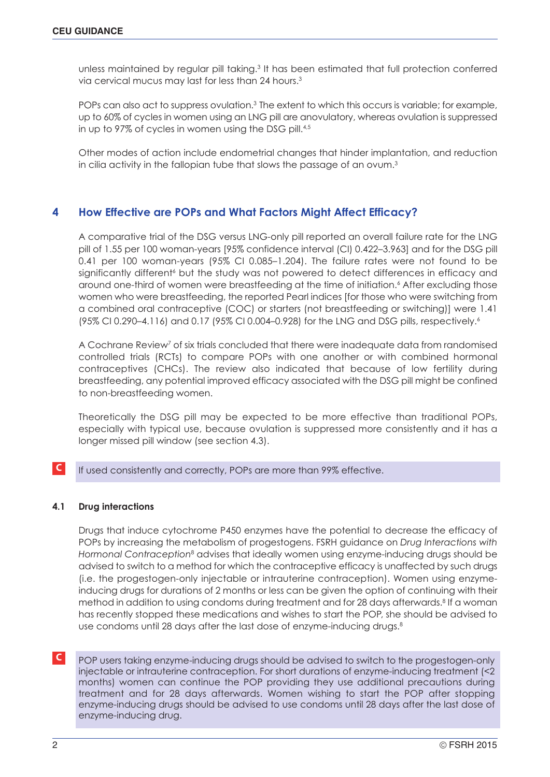unless maintained by regular pill taking.<sup>3</sup> It has been estimated that full protection conferred via cervical mucus may last for less than 24 hours. 3

POPs can also act to suppress ovulation.<sup>3</sup> The extent to which this occurs is variable; for example, up to 60% of cycles in women using an LNG pill are anovulatory, whereas ovulation is suppressed in up to 97% of cycles in women using the DSG pill. 4,5

Other modes of action include endometrial changes that hinder implantation, and reduction in cilia activity in the fallopian tube that slows the passage of an ovum. $^3$ 

# **4 How Effective are POPs and What Factors Might Affect Efficacy?**

A comparative trial of the DSG versus LNG-only pill reported an overall failure rate for the LNG pill of 1.55 per 100 woman-years [95% confidence interval (CI) 0.422–3.963] and for the DSG pill 0.41 per 100 woman-years (95% CI 0.085–1.204). The failure rates were not found to be significantly different<sup>6</sup> but the study was not powered to detect differences in efficacy and around one-third of women were breastfeeding at the time of initiation. <sup>6</sup> After excluding those women who were breastfeeding, the reported Pearl indices [for those who were switching from a combined oral contraceptive (COC) or starters (not breastfeeding or switching)] were 1.41 (95% CI 0.290–4.116) and 0.17 (95% CI 0.004–0.928) for the LNG and DSG pills, respectively. 6

A Cochrane Review<sup>7</sup> of six trials concluded that there were inadequate data from randomised controlled trials (RCTs) to compare POPs with one another or with combined hormonal contraceptives (CHCs). The review also indicated that because of low fertility during breastfeeding, any potential improved efficacy associated with the DSG pill might be confined to non-breastfeeding women.

Theoretically the DSG pill may be expected to be more effective than traditional POPs, especially with typical use, because ovulation is suppressed more consistently and it has a longer missed pill window (see section 4.3).

# **C** If used consistently and correctly, POPs are more than 99% effective.

## **4.1 Drug interactions**

Drugs that induce cytochrome P450 enzymes have the potential to decrease the efficacy of POPs by increasing the metabolism of progestogens. FSRH guidance on *Drug Interactions with Hormonal Contraception*<sup>8</sup> advises that ideally women using enzyme-inducing drugs should be advised to switch to a method for which the contraceptive efficacy is unaffected by such drugs (i.e. the progestogen-only injectable or intrauterine contraception). Women using enzymeinducing drugs for durations of 2 months or less can be given the option of continuing with their method in addition to using condoms during treatment and for 28 days afterwards. <sup>8</sup> If a woman has recently stopped these medications and wishes to start the POP, she should be advised to use condoms until 28 days after the last dose of enzyme-inducing drugs. 8

**C** POP users taking enzyme-inducing drugs should be advised to switch to the progestogen-only injectable or intrauterine contraception. For short durations of enzyme-inducing treatment (<2 months) women can continue the POP providing they use additional precautions during treatment and for 28 days afterwards. Women wishing to start the POP after stopping enzyme-inducing drugs should be advised to use condoms until 28 days after the last dose of enzyme-inducing drug.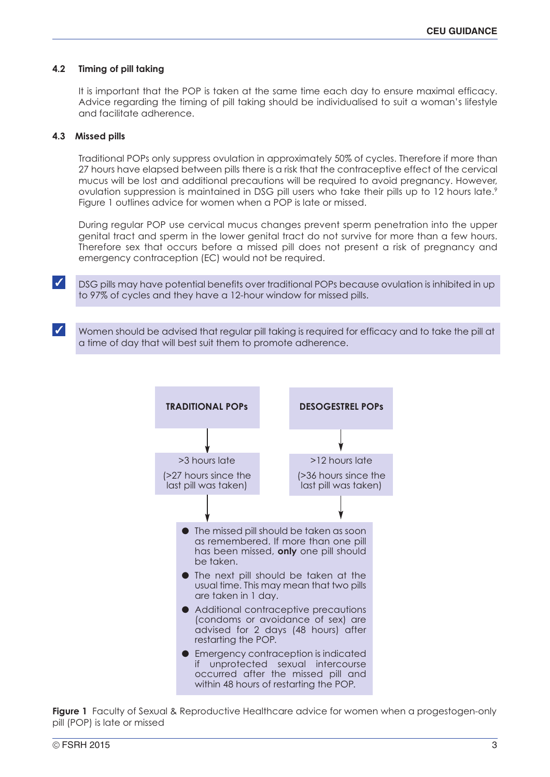### **4.2 Timing of pill taking**

It is important that the POP is taken at the same time each day to ensure maximal efficacy. Advice regarding the timing of pill taking should be individualised to suit a woman's lifestyle and facilitate adherence.

#### **4.3 Missed pills**

Traditional POPs only suppress ovulation in approximately 50% of cycles. Therefore if more than 27 hours have elapsed between pills there is a risk that the contraceptive effect of the cervical mucus will be lost and additional precautions will be required to avoid pregnancy. However, ovulation suppression is maintained in DSG pill users who take their pills up to 12 hours late.<sup>9</sup> Figure 1 outlines advice for women when a POP is late or missed.

During regular POP use cervical mucus changes prevent sperm penetration into the upper genital tract and sperm in the lower genital tract do not survive for more than a few hours. Therefore sex that occurs before a missed pill does not present a risk of pregnancy and emergency contraception (EC) would not be required.

■ DSG pills may have potential benefits over traditional POPs because ovulation is inhibited in up to 97% of cycles and they have a 12-hour window for missed pills.

 $\checkmark$  Women should be advised that regular pill taking is required for efficacy and to take the pill at a time of day that will best suit them to promote adherence.



**Figure 1** Faculty of Sexual & Reproductive Healthcare advice for women when a progestogen-only pill (POP) is late or missed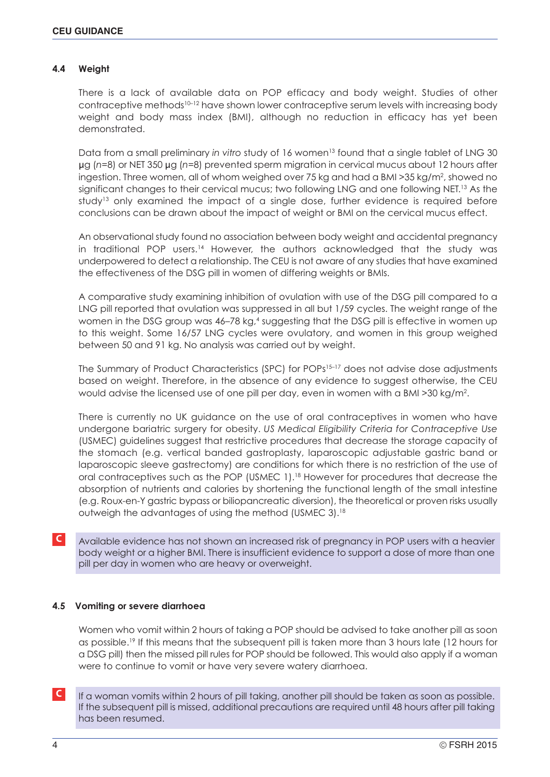# **4.4 Weight**

There is a lack of available data on POP efficacy and body weight. Studies of other contraceptive methods<sup>10-12</sup> have shown lower contraceptive serum levels with increasing body weight and body mass index (BMI), although no reduction in efficacy has yet been demonstrated.

Data from a small preliminary *in* vitro study of 16 women<sup>13</sup> found that a single tablet of LNG 30 μg (*n*=8) or NET 350 μg (*n*=8) prevented sperm migration in cervical mucus about 12 hours after ingestion. Three women, all of whom weighed over 75 kg and had a BMI > 35 kg/m<sup>2</sup>, showed no significant changes to their cervical mucus; two following LNG and one following NET.<sup>13</sup> As the study<sup>13</sup> only examined the impact of a single dose, further evidence is required before conclusions can be drawn about the impact of weight or BMI on the cervical mucus effect.

An observational study found no association between body weight and accidental pregnancy in traditional POP users. <sup>14</sup> However, the authors acknowledged that the study was underpowered to detect a relationship. The CEU is not aware of any studies that have examined the effectiveness of the DSG pill in women of differing weights or BMIs.

A comparative study examining inhibition of ovulation with use of the DSG pill compared to a LNG pill reported that ovulation was suppressed in all but 1/59 cycles. The weight range of the women in the DSG group was 46–78 kg, <sup>4</sup> suggesting that the DSG pill is effective in women up to this weight. Some 16/57 LNG cycles were ovulatory, and women in this group weighed between 50 and 91 kg. No analysis was carried out by weight.

The Summary of Product Characteristics (SPC) for POPs<sup>15-17</sup> does not advise dose adjustments based on weight. Therefore, in the absence of any evidence to suggest otherwise, the CEU would advise the licensed use of one pill per day, even in women with a BMI >30 kg/m2.

There is currently no UK guidance on the use of oral contraceptives in women who have undergone bariatric surgery for obesity. *US Medical Eligibility Criteria for Contraceptive Use* (USMEC) guidelines suggest that restrictive procedures that decrease the storage capacity of the stomach (e.g. vertical banded gastroplasty, laparoscopic adjustable gastric band or laparoscopic sleeve gastrectomy) are conditions for which there is no restriction of the use of oral contraceptives such as the POP (USMEC 1). <sup>18</sup> However for procedures that decrease the absorption of nutrients and calories by shortening the functional length of the small intestine (e.g. Roux-en-Y gastric bypass or biliopancreatic diversion), the theoretical or proven risks usually outweigh the advantages of using the method (USMEC 3). 18

**C** Available evidence has not shown an increased risk of pregnancy in POP users with a heavier body weight or a higher BMI. There is insufficient evidence to support a dose of more than one pill per day in women who are heavy or overweight.

## **4.5 Vomiting or severe diarrhoea**

Women who vomit within 2 hours of taking a POP should be advised to take another pill as soon as possible.<sup>19</sup> If this means that the subsequent pill is taken more than 3 hours late (12 hours for a DSG pill) then the missed pill rules for POP should be followed. This would also apply if a woman were to continue to vomit or have very severe watery diarrhoea.

**C** If a woman vomits within 2 hours of pill taking, another pill should be taken as soon as possible. If the subsequent pill is missed, additional precautions are required until 48 hours after pill taking has been resumed.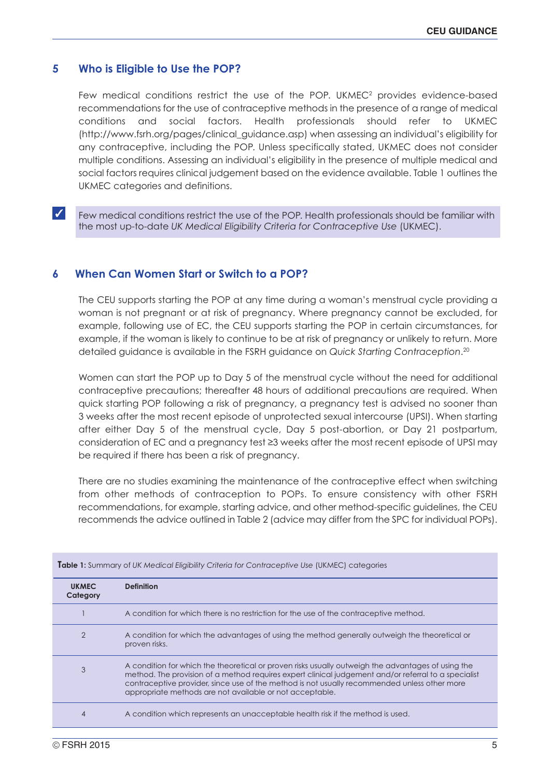# **5 Who is Eligible to Use the POP?**

Few medical conditions restrict the use of the POP. UKMEC $2$  provides evidence-based recommendations for the use of contraceptive methods in the presence of a range of medical conditions and social factors. Health professionals should refer to UKMEC (http://www.fsrh.org/pages/clinical\_guidance.asp) when assessing an individual's eligibility for any contraceptive, including the POP. Unless specifically stated, UKMEC does not consider multiple conditions. Assessing an individual's eligibility in the presence of multiple medical and social factors requires clinical judgement based on the evidence available. Table 1 outlines the UKMEC categories and definitions.

✓ Few medical conditions restrict the use of the POP. Health professionals should be familiar with the most up-to-date *UK Medical Eligibility Criteria for Contraceptive Use* (UKMEC).

# **6 When Can Women Start or Switch to a POP?**

The CEU supports starting the POP at any time during a woman's menstrual cycle providing a woman is not pregnant or at risk of pregnancy. Where pregnancy cannot be excluded, for example, following use of EC, the CEU supports starting the POP in certain circumstances, for example, if the woman is likely to continue to be at risk of pregnancy or unlikely to return. More detailed guidance is available in the FSRH guidance on *Quick Starting Contraception*. 20

Women can start the POP up to Day 5 of the menstrual cycle without the need for additional contraceptive precautions; thereafter 48 hours of additional precautions are required. When quick starting POP following a risk of pregnancy, a pregnancy test is advised no sooner than 3 weeks after the most recent episode of unprotected sexual intercourse (UPSI). When starting after either Day 5 of the menstrual cycle, Day 5 post-abortion, or Day 21 postpartum, consideration of EC and a pregnancy test ≥3 weeks after the most recent episode of UPSI may be required if there has been a risk of pregnancy.

There are no studies examining the maintenance of the contraceptive effect when switching from other methods of contraception to POPs. To ensure consistency with other FSRH recommendations, for example, starting advice, and other method-specific guidelines, the CEU recommends the advice outlined in Table 2 (advice may differ from the SPC for individual POPs).

| <b>UKMEC</b><br>Category | <b>Definition</b>                                                                                                                                                                                                                                                                                                                                                      |
|--------------------------|------------------------------------------------------------------------------------------------------------------------------------------------------------------------------------------------------------------------------------------------------------------------------------------------------------------------------------------------------------------------|
|                          | A condition for which there is no restriction for the use of the contraceptive method.                                                                                                                                                                                                                                                                                 |
| $\overline{2}$           | A condition for which the advantages of using the method generally outweigh the theoretical or<br>proven risks.                                                                                                                                                                                                                                                        |
| 3                        | A condition for which the theoretical or proven risks usually outweigh the advantages of using the<br>method. The provision of a method requires expert clinical judgement and/or referral to a specialist<br>contraceptive provider, since use of the method is not usually recommended unless other more<br>appropriate methods are not available or not acceptable. |
| 4                        | A condition which represents an unacceptable health risk if the method is used.                                                                                                                                                                                                                                                                                        |

**Table 1:** Summary of *UK Medical Eligibility Criteria for Contraceptive Use* (UKMEC) categories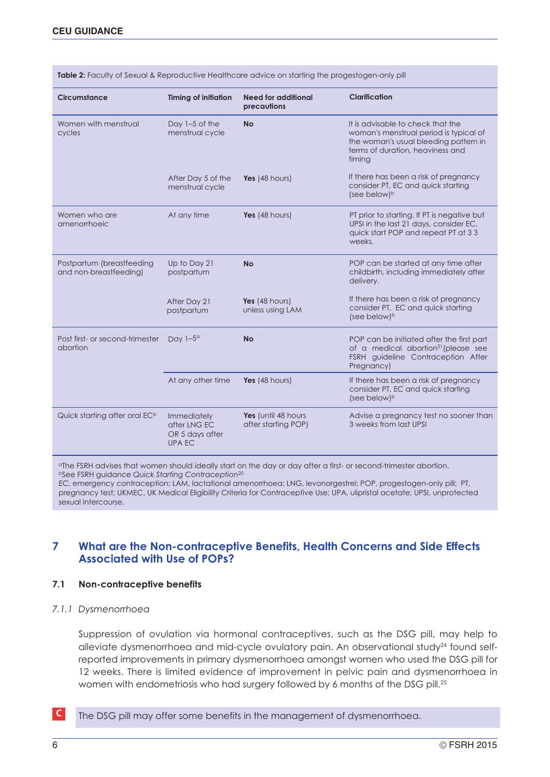| Circumstance                                        | <b>Timing of initiation</b>                                     | Need for additional<br>precautions         | Clarification                                                                                                                                                      |
|-----------------------------------------------------|-----------------------------------------------------------------|--------------------------------------------|--------------------------------------------------------------------------------------------------------------------------------------------------------------------|
| Women with menstrual<br>cycles                      | Day 1-5 of the<br>menstrual cycle                               | <b>No</b>                                  | It is advisable to check that the<br>woman's menstrual period is typical of<br>the woman's usual bleeding pattern in<br>terms of duration, heaviness and<br>timina |
|                                                     | After Day 5 of the<br>menstrual cycle                           | Yes $(48$ hours)                           | If there has been a risk of pregnancy<br>consider PT, EC and quick starting<br>(see below) <sup>b</sup>                                                            |
| Women who are<br>amenorrhoeic                       | At any time                                                     | Yes (48 hours)                             | PT prior to starting. If PT is negative but<br>UPSI in the last 21 days, consider EC,<br>quick start POP and repeat PT at 33<br>weeks.                             |
| Postpartum (breastfeeding<br>and non-breastfeeding) | Up to Day 21<br>postpartum                                      | <b>No</b>                                  | POP can be started at any time after<br>childbirth, including immediately after<br>delivery.                                                                       |
|                                                     | After Day 21<br>postpartum                                      | Yes (48 hours)<br>unless using LAM         | If there has been a risk of pregnancy<br>consider PT, EC and quick starting<br>(see below) <sup>b</sup>                                                            |
| Post first- or second-trimester<br>abortion         | Day $1-5^\circ$                                                 | <b>No</b>                                  | POP can be initiated after the first part<br>of a medical abortion <sup>21</sup> (please see<br>FSRH guideline Contraception After<br>Pregnancy)                   |
|                                                     | At any other time                                               | Yes (48 hours)                             | If there has been a risk of pregnancy<br>consider PT, EC and quick starting<br>(see below) <sup>b</sup>                                                            |
| Quick starting after oral EC <sup>b</sup>           | Immediately<br>after LNG EC<br>OR 5 days after<br><b>UPA EC</b> | Yes (until 48 hours<br>after starting POP) | Advise a pregnancy test no sooner than<br>3 weeks from last UPSI                                                                                                   |

Table 2: Faculty of Sexual & Reproductive Healthcare advice on starting the progestogen-only pill

<sup>a</sup>The FSRH advises that women should ideally start on the day or day after a first- or second-trimester abortion. <sup>b</sup>See FSRH guidance *Quick Starting Contraception*<sup>20</sup>

EC, emergency contraception; LAM, lactational amenorrhoea; LNG, levonorgestrel; POP, progestogen-only pill; PT, pregnancy test; UKMEC, UK Medical Eligibility Criteria for Contraceptive Use; UPA, ulipristal acetate; UPSI, unprotected sexual intercourse.

# **7 What are the Non-contraceptive Benefits, Health Concerns and Side Effects Associated with Use of POPs?**

#### **7.1 Non-contraceptive benefits**

#### *7.1.1 Dysmenorrhoea*

Suppression of ovulation via hormonal contraceptives, such as the DSG pill, may help to alleviate dysmenorrhoea and mid-cycle ovulatory pain. An observational study<sup>24</sup> found selfreported improvements in primary dysmenorrhoea amongst women who used the DSG pill for 12 weeks. There is limited evidence of improvement in pelvic pain and dysmenorrhoea in women with endometriosis who had surgery followed by 6 months of the DSG pill.<sup>25</sup>

**C** The DSG pill may offer some benefits in the management of dysmenorrhoea.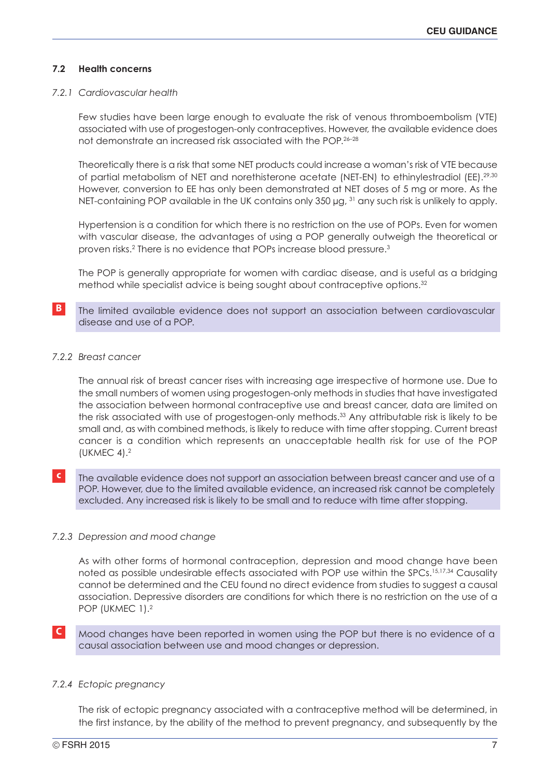# **7.2 Health concerns**

#### *7.2.1 Cardiovascular health*

Few studies have been large enough to evaluate the risk of venous thromboembolism (VTE) associated with use of progestogen-only contraceptives. However, the available evidence does not demonstrate an increased risk associated with the POP. 26–28

Theoretically there is a risk that some NET products could increase a woman's risk of VTE because of partial metabolism of NET and norethisterone acetate (NET-EN) to ethinylestradiol (EE).<sup>29,30</sup> However, conversion to EE has only been demonstrated at NET doses of 5 mg or more. As the NET-containing POP available in the UK contains only 350 µg, <sup>31</sup> any such risk is unlikely to apply.

Hypertension is a condition for which there is no restriction on the use of POPs. Even for women with vascular disease, the advantages of using a POP generally outweigh the theoretical or proven risks. <sup>2</sup> There is no evidence that POPs increase blood pressure. 3

The POP is generally appropriate for women with cardiac disease, and is useful as a bridging method while specialist advice is being sought about contraceptive options. 32

# **B** The limited available evidence does not support an association between cardiovascular disease and use of a POP.

#### *7.2.2 Breast cancer*

The annual risk of breast cancer rises with increasing age irrespective of hormone use. Due to the small numbers of women using progestogen-only methods in studies that have investigated the association between hormonal contraceptive use and breast cancer, data are limited on the risk associated with use of progestogen-only methods. <sup>33</sup> Any attributable risk is likely to be small and, as with combined methods, is likely to reduce with time after stopping. Current breast cancer is a condition which represents an unacceptable health risk for use of the POP (UKMEC 4). 2

**c** The available evidence does not support an association between breast cancer and use of a POP. However, due to the limited available evidence, an increased risk cannot be completely excluded. Any increased risk is likely to be small and to reduce with time after stopping.

## *7.2.3 Depression and mood change*

As with other forms of hormonal contraception, depression and mood change have been noted as possible undesirable effects associated with POP use within the SPCs. 15,17,34 Causality cannot be determined and the CEU found no direct evidence from studies to suggest a causal association. Depressive disorders are conditions for which there is no restriction on the use of a POP (UKMEC 1).<sup>2</sup>

# **C** Mood changes have been reported in women using the POP but there is no evidence of a causal association between use and mood changes or depression.

#### *7.2.4 Ectopic pregnancy*

The risk of ectopic pregnancy associated with a contraceptive method will be determined, in the first instance, by the ability of the method to prevent pregnancy, and subsequently by the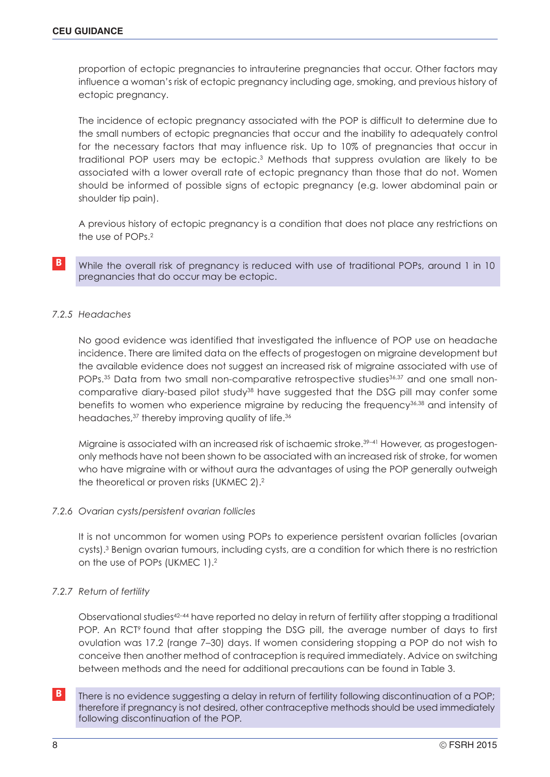proportion of ectopic pregnancies to intrauterine pregnancies that occur. Other factors may influence a woman's risk of ectopic pregnancy including age, smoking, and previous history of ectopic pregnancy.

The incidence of ectopic pregnancy associated with the POP is difficult to determine due to the small numbers of ectopic pregnancies that occur and the inability to adequately control for the necessary factors that may influence risk. Up to 10% of pregnancies that occur in traditional POP users may be ectopic. <sup>3</sup> Methods that suppress ovulation are likely to be associated with a lower overall rate of ectopic pregnancy than those that do not. Women should be informed of possible signs of ectopic pregnancy (e.g. lower abdominal pain or shoulder tip pain).

A previous history of ectopic pregnancy is a condition that does not place any restrictions on the use of POPs. 2

**B** While the overall risk of pregnancy is reduced with use of traditional POPs, around 1 in 10 pregnancies that do occur may be ectopic.

# *7.2.5 Headaches*

No good evidence was identified that investigated the influence of POP use on headache incidence. There are limited data on the effects of progestogen on migraine development but the available evidence does not suggest an increased risk of migraine associated with use of POPs.<sup>35</sup> Data from two small non-comparative retrospective studies<sup>36,37</sup> and one small noncomparative diary-based pilot study<sup>38</sup> have suggested that the DSG pill may confer some benefits to women who experience migraine by reducing the frequency36,38 and intensity of headaches,<sup>37</sup> thereby improving quality of life.<sup>36</sup>

Migraine is associated with an increased risk of ischaemic stroke. 39–41 However, as progestogenonly methods have not been shown to be associated with an increased risk of stroke, for women who have migraine with or without aura the advantages of using the POP generally outweigh the theoretical or proven risks (UKMEC 2). 2

## *7.2.6 Ovarian cysts/persistent ovarian follicles*

It is not uncommon for women using POPs to experience persistent ovarian follicles (ovarian cysts). <sup>3</sup> Benign ovarian tumours, including cysts, are a condition for which there is no restriction on the use of POPs (UKMEC 1). 2

## *7.2.7 Return of fertility*

Observational studies<sup>42–44</sup> have reported no delay in return of fertility after stopping a traditional POP. An RCT<sup>9</sup> found that after stopping the DSG pill, the average number of days to first ovulation was 17.2 (range 7–30) days. If women considering stopping a POP do not wish to conceive then another method of contraception is required immediately. Advice on switching between methods and the need for additional precautions can be found in Table 3.

**B** There is no evidence suggesting a delay in return of fertility following discontinuation of a POP; therefore if pregnancy is not desired, other contraceptive methods should be used immediately following discontinuation of the POP.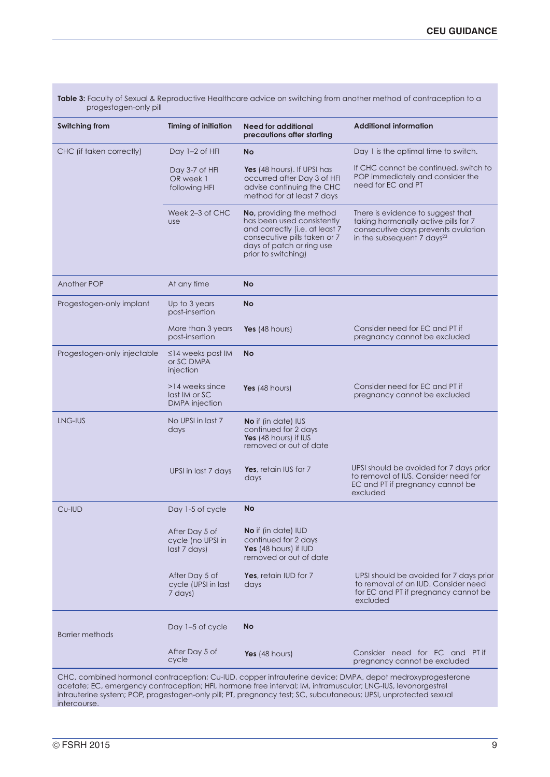| Table 3: Faculty of Sexual & Reproductive Healthcare advice on switching from another method of contraception to a<br>progestogen-only pill |                                                           |                                                                                                                                                                              |                                                                                                                                                      |  |
|---------------------------------------------------------------------------------------------------------------------------------------------|-----------------------------------------------------------|------------------------------------------------------------------------------------------------------------------------------------------------------------------------------|------------------------------------------------------------------------------------------------------------------------------------------------------|--|
| <b>Switching from</b>                                                                                                                       | <b>Timing of initiation</b>                               | <b>Need for additional</b><br>precautions after starting                                                                                                                     | <b>Additional information</b>                                                                                                                        |  |
| CHC (if taken correctly)                                                                                                                    | Day 1-2 of HFI                                            | <b>No</b>                                                                                                                                                                    | Day 1 is the optimal time to switch.                                                                                                                 |  |
|                                                                                                                                             | Day 3-7 of HFI<br>OR week 1<br>following HFI              | Yes (48 hours). If UPSI has<br>occurred after Day 3 of HFI<br>advise continuing the CHC<br>method for at least 7 days                                                        | If CHC cannot be continued, switch to<br>POP immediately and consider the<br>need for EC and PT                                                      |  |
|                                                                                                                                             | Week 2-3 of CHC<br><b>use</b>                             | No, providing the method<br>has been used consistently<br>and correctly (i.e. at least 7<br>consecutive pills taken or 7<br>days of patch or ring use<br>prior to switching) | There is evidence to suggest that<br>taking hormonally active pills for 7<br>consecutive days prevents ovulation<br>in the subsequent 7 days $^{23}$ |  |
| <b>Another POP</b>                                                                                                                          | At any time                                               | No                                                                                                                                                                           |                                                                                                                                                      |  |
| Progestogen-only implant                                                                                                                    | Up to 3 years<br>post-insertion                           | <b>No</b>                                                                                                                                                                    |                                                                                                                                                      |  |
|                                                                                                                                             | More than 3 years<br>post-insertion                       | Yes $(48$ hours)                                                                                                                                                             | Consider need for EC and PT if<br>pregnancy cannot be excluded                                                                                       |  |
| Progestogen-only injectable                                                                                                                 | $\leq$ 14 weeks post IM<br>or SC DMPA<br>injection        | <b>No</b>                                                                                                                                                                    |                                                                                                                                                      |  |
|                                                                                                                                             | >14 weeks since<br>last IM or SC<br><b>DMPA</b> injection | Yes $(48$ hours)                                                                                                                                                             | Consider need for EC and PT if<br>pregnancy cannot be excluded                                                                                       |  |
| LNG-IUS                                                                                                                                     | No UPSI in last 7<br>days                                 | <b>No</b> if (in date) IUS<br>continued for 2 days<br>Yes (48 hours) if IUS<br>removed or out of date                                                                        |                                                                                                                                                      |  |
|                                                                                                                                             | UPSI in last 7 days                                       | Yes, retain IUS for 7<br>days                                                                                                                                                | UPSI should be avoided for 7 days prior<br>to removal of IUS. Consider need for<br>EC and PT if pregnancy cannot be<br>excluded                      |  |
| Cu-IUD                                                                                                                                      | Day 1-5 of cycle                                          | <b>No</b>                                                                                                                                                                    |                                                                                                                                                      |  |
|                                                                                                                                             | After Day 5 of<br>cycle (no UPSI in<br>last 7 days)       | <b>No</b> if (in date) IUD<br>continued for 2 days<br>Yes (48 hours) if IUD<br>removed or out of date                                                                        |                                                                                                                                                      |  |
|                                                                                                                                             | After Day 5 of<br>cycle (UPSI in last<br>7 days)          | Yes, retain IUD for 7<br>days                                                                                                                                                | UPSI should be avoided for 7 days prior<br>to removal of an IUD. Consider need<br>for EC and PT if pregnancy cannot be<br>excluded                   |  |
| <b>Barrier methods</b>                                                                                                                      | Day 1-5 of cycle                                          | <b>No</b>                                                                                                                                                                    |                                                                                                                                                      |  |
|                                                                                                                                             | After Day 5 of<br>cycle                                   | Yes $(48$ hours)                                                                                                                                                             | Consider need for EC and PT if<br>pregnancy cannot be excluded                                                                                       |  |
| CHC, combined hormonal contraception; Cu-IUD, copper intrauterine device; DMPA, depot medroxyprogesterone                                   |                                                           |                                                                                                                                                                              |                                                                                                                                                      |  |

acetate; EC, emergency contraception; HFI, hormone free interval; IM, intramuscular; LNG-IUS, levonorgestrel intrauterine system; POP, progestogen-only pill; PT, pregnancy test; SC, subcutaneous; UPSI, unprotected sexual intercourse.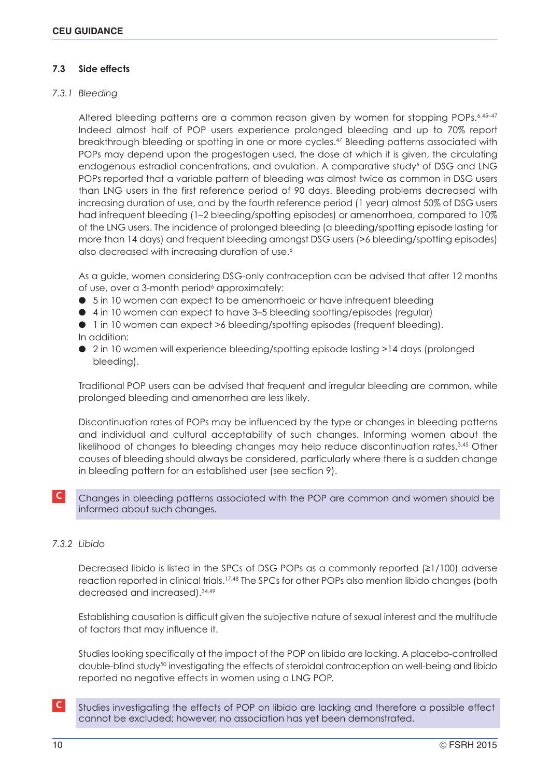# **7.3 Side effects**

# *7.3.1 Bleeding*

Altered bleeding patterns are a common reason given by women for stopping POPs.<sup>6,45-47</sup> Indeed almost half of POP users experience prolonged bleeding and up to 70% report breakthrough bleeding or spotting in one or more cycles.47 Bleeding patterns associated with POPs may depend upon the progestogen used, the dose at which it is given, the circulating endogenous estradiol concentrations, and ovulation. A comparative study<sup>6</sup> of DSG and LNG POPs reported that a variable pattern of bleeding was almost twice as common in DSG users than LNG users in the first reference period of 90 days. Bleeding problems decreased with increasing duration of use, and by the fourth reference period (1 year) almost 50% of DSG users had infrequent bleeding (1–2 bleeding/spotting episodes) or amenorrhoea, compared to 10% of the LNG users. The incidence of prolonged bleeding (a bleeding/spotting episode lasting for more than 14 days) and frequent bleeding amongst DSG users (>6 bleeding/spotting episodes) also decreased with increasing duration of use.<sup>6</sup>

As a guide, women considering DSG-only contraception can be advised that after 12 months of use, over a 3-month period<sup>6</sup> approximately:

- 5 in 10 women can expect to be amenorrhoeic or have infrequent bleeding
- 4 in 10 women can expect to have 3–5 bleeding spotting/episodes (regular)
- 1 in 10 women can expect >6 bleeding/spotting episodes (frequent bleeding).
- In addition:
- 2 in 10 women will experience bleeding/spotting episode lasting >14 days (prolonged bleeding).

Traditional POP users can be advised that frequent and irregular bleeding are common, while prolonged bleeding and amenorrhea are less likely.

Discontinuation rates of POPs may be influenced by the type or changes in bleeding patterns and individual and cultural acceptability of such changes. Informing women about the likelihood of changes to bleeding changes may help reduce discontinuation rates.<sup>3,45</sup> Other causes of bleeding should always be considered, particularly where there is a sudden change in bleeding pattern for an established user (see section 9).

**C** Changes in bleeding patterns associated with the POP are common and women should be informed about such changes.

# *7.3.2 Libido*

Decreased libido is listed in the SPCs of DSG POPs as a commonly reported (≥1/100) adverse reaction reported in clinical trials.<sup>17,48</sup> The SPCs for other POPs also mention libido changes (both decreased and increased).34,49

Establishing causation is difficult given the subjective nature of sexual interest and the multitude of factors that may influence it.

Studies looking specifically at the impact of the POP on libido are lacking. A placebo-controlled double-blind study<sup>50</sup> investigating the effects of steroidal contraception on well-being and libido reported no negative effects in women using a LNG POP.

**C** Studies investigating the effects of POP on libido are lacking and therefore a possible effect cannot be excluded; however, no association has yet been demonstrated.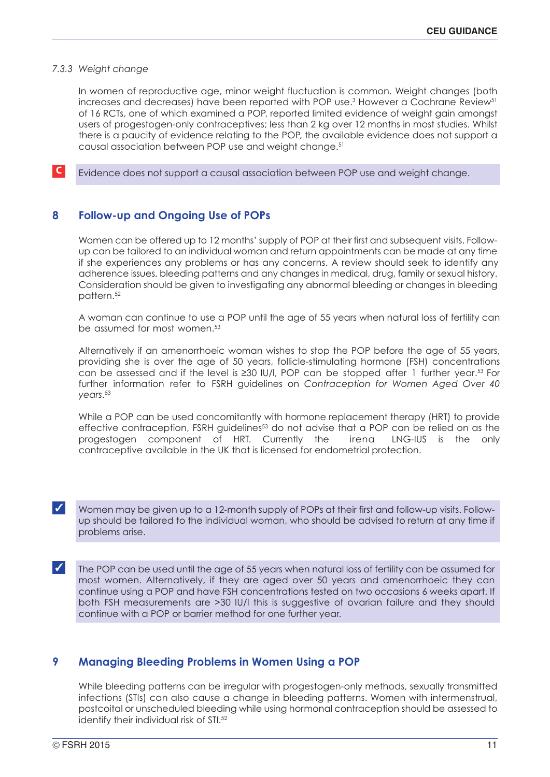#### *7.3.3 Weight change*

In women of reproductive age, minor weight fluctuation is common. Weight changes (both increases and decreases) have been reported with POP use.<sup>3</sup> However a Cochrane Review<sup>51</sup> of 16 RCTs, one of which examined a POP, reported limited evidence of weight gain amongst users of progestogen-only contraceptives; less than 2 kg over 12 months in most studies. Whilst there is a paucity of evidence relating to the POP, the available evidence does not support a causal association between POP use and weight change.<sup>51</sup>

**C** Evidence does not support a causal association between POP use and weight change.

# **8 Follow-up and Ongoing Use of POPs**

Women can be offered up to 12 months' supply of POP at their first and subsequent visits. Followup can be tailored to an individual woman and return appointments can be made at any time if she experiences any problems or has any concerns. A review should seek to identify any adherence issues, bleeding patterns and any changes in medical, drug, family or sexual history. Consideration should be given to investigating any abnormal bleeding or changes in bleeding pattern.<sup>52</sup>

A woman can continue to use a POP until the age of 55 years when natural loss of fertility can be assumed for most women.<sup>53</sup>

Alternatively if an amenorrhoeic woman wishes to stop the POP before the age of 55 years, providing she is over the age of 50 years, follicle-stimulating hormone (FSH) concentrations can be assessed and if the level is ≥30 IU/l, POP can be stopped after 1 further year.<sup>53</sup> For further information refer to FSRH guidelines on *Contraception for Women Aged Over 40 years*. 53

While a POP can be used concomitantly with hormone replacement therapy (HRT) to provide effective contraception, FSRH guidelines<sup>53</sup> do not advise that a POP can be relied on as the progestogen component of HRT. Currently the irena LNG-IUS is the only contraceptive available in the UK that is licensed for endometrial protection.

✓ Women may be given up to a 12-month supply of POPs at their first and follow-up visits. Followup should be tailored to the individual woman, who should be advised to return at any time if problems arise.

✓ The POP can be used until the age of 55 years when natural loss of fertility can be assumed for most women. Alternatively, if they are aged over 50 years and amenorrhoeic they can continue using a POP and have FSH concentrations tested on two occasions 6 weeks apart. If both FSH measurements are >30 IU/l this is suggestive of ovarian failure and they should continue with a POP or barrier method for one further year.

# **9 Managing Bleeding Problems in Women Using a POP**

While bleeding patterns can be irregular with progestogen-only methods, sexually transmitted infections (STIs) can also cause a change in bleeding patterns. Women with intermenstrual, postcoital or unscheduled bleeding while using hormonal contraception should be assessed to identify their individual risk of STI.<sup>52</sup>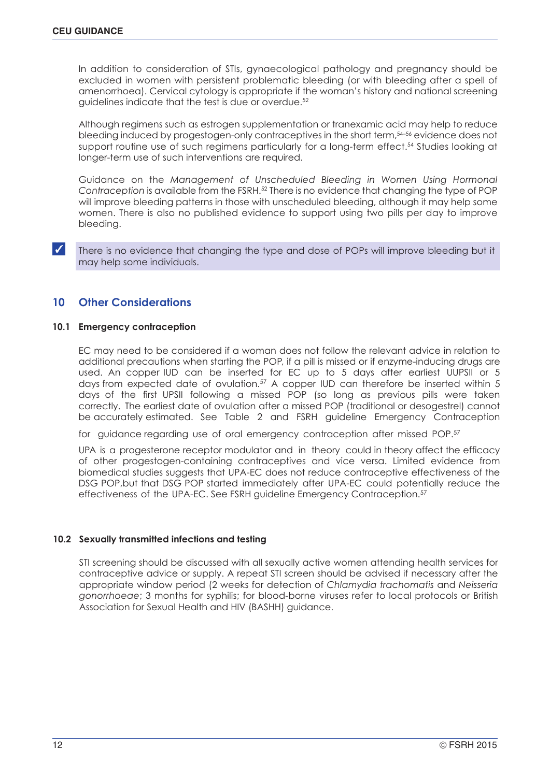In addition to consideration of STIs, gynaecological pathology and pregnancy should be excluded in women with persistent problematic bleeding (or with bleeding after a spell of amenorrhoea). Cervical cytology is appropriate if the woman's history and national screening guidelines indicate that the test is due or overdue.52

Although regimens such as estrogen supplementation or tranexamic acid may help to reduce bleeding induced by progestogen-only contraceptives in the short term,<sup>54-56</sup> evidence does not support routine use of such regimens particularly for a long-term effect.<sup>54</sup> Studies looking at longer-term use of such interventions are required.

Guidance on the *Management of Unscheduled Bleeding in Women Using Hormonal Contraception* is available from the FSRH.52 There is no evidence that changing the type of POP will improve bleeding patterns in those with unscheduled bleeding, although it may help some women. There is also no published evidence to support using two pills per day to improve bleeding.

✓ There is no evidence that changing the type and dose of POPs will improve bleeding but it may help some individuals.

# **10 Other Considerations**

#### **10.1 Emergency contraception**

EC may need to be considered if a woman does not follow the relevant advice in relation to additional precautions when starting the POP, if a pill is missed or if enzyme-inducing drugs are used. An copper IUD can be inserted for EC up to 5 days after earliest UUPSII or 5 days from expected date of ovulation. <sup>57</sup> A copper IUD can therefore be inserted within 5 days of the first UPSII following a missed POP (so long as previous pills were taken correctly. The earliest date of ovulation after a missed POP (traditional or desogestrel) cannot be accurately estimated. See Table 2 and FSRH guideline Emergency Contraception

for quidance regarding use of oral emergency contraception after missed POP.<sup>57</sup>

UPA is a progesterone receptor modulator and in theory could in theory affect the efficacy of other progestogen-containing contraceptives and vice versa. Limited evidence from biomedical studies suggests that UPA-EC does not reduce contraceptive effectiveness of the DSG POP,but that DSG POP started immediately after UPA-EC could potentially reduce the effectiveness of the UPA-EC. See FSRH guideline Emergency Contraception.<sup>57</sup>

## **10.2 Sexually transmitted infections and testing**

STI screening should be discussed with all sexually active women attending health services for contraceptive advice or supply. A repeat STI screen should be advised if necessary after the appropriate window period (2 weeks for detection of *Chlamydia trachomatis* and *Neisseria gonorrhoeae*; 3 months for syphilis; for blood-borne viruses refer to local protocols or British Association for Sexual Health and HIV (BASHH) guidance.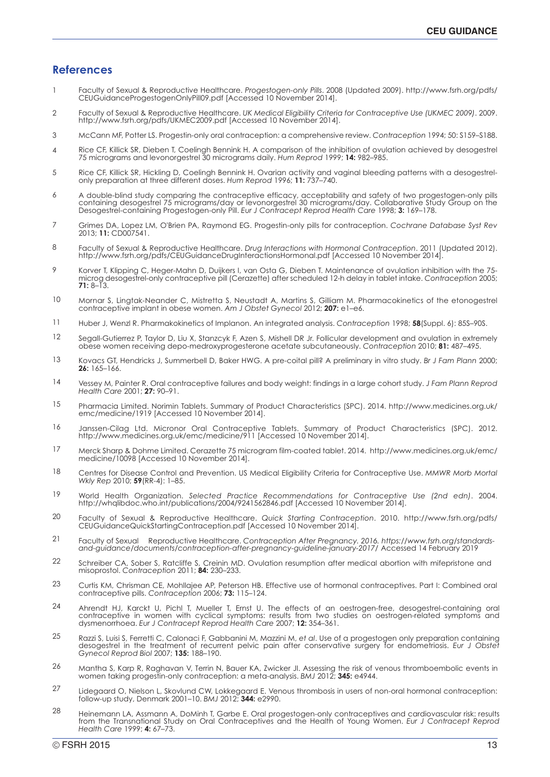#### **References**

- 1 Faculty of Sexual & Reproductive Healthcare. *Progestogen-only Pills*. 2008 (Updated 2009). http://www.fsrh.org/pdfs/ CEUGuidanceProgestogenOnlyPill09.pdf [Accessed 10 November 2014].
- $\mathcal{D}$ Faculty of Sexual & Reproductive Healthcare. *UK Medical Eligibility Criteria for Contraceptive Use (UKMEC 2009)*. 2009. http://www.fsrh.org/pdfs/UKMEC2009.pdf [Accessed 10 November 2014].
- 3 McCann MF, Potter LS. Progestin-only oral contraception: a comprehensive review. *Contraception* 1994; 50: S159–S188.
- 4 Rice CF, Killick SR, Dieben T, Coelingh Bennink H. A comparison of the inhibition of ovulation achieved by desogestrel 75 micrograms and levonorgestrel 30 micrograms daily. *Hum Reprod* 1999; **14:** 982–985.
- 5 Rice CF, Killick SR, Hickling D, Coelingh Bennink H. Ovarian activity and vaginal bleeding patterns with a desogestrelonly preparation at three different doses. *Hum Reprod* 1996; **11:** 737–740.
- 6 A double-blind study comparing the contraceptive efficacy, acceptability and safety of two progestogen-only pills containing desogestrel 75 micrograms/day or levonorgestrel 30 micrograms/day. Collaborative Study Group on the Desogestrel-containing Progestogen-only Pill. *Eur J Contracept Reprod Health Care* 1998; **3:** 169–178.
- 7 Grimes DA, Lopez LM, O'Brien PA, Raymond EG. Progestin-only pills for contraception. *Cochrane Database Syst Rev* 2013; **11:** CD007541.
- 8 Faculty of Sexual & Reproductive Healthcare. *Drug Interactions with Hormonal Contraception*. 2011 (Updated 2012). http://www.fsrh.org/pdfs/CEUGuidanceDrugInteractionsHormonal.pdf [Accessed 10 November 2014].
- 9 Korver T, Klipping C, Heger-Mahn D, Duijkers I, van Osta G, Dieben T. Maintenance of ovulation inhibition with the 75 microg desogestrel-only contraceptive pill (Cerazette) after scheduled 12-h delay in tablet intake. *Contraception* 2005;  $71 \cdot 8 - 13$
- 10 Mornar S, Lingtak-Neander C, Mistretta S, Neustadt A, Martins S, Gilliam M. Pharmacokinetics of the etonogestrel contraceptive implant in obese women. *Am J Obstet Gynecol* 2012; **207:** e1–e6.
- 11 Huber J, Wenzl R. Pharmakokinetics of Implanon. An integrated analysis. *Contraception* 1998; **58**(Suppl. 6): 85S–90S.
- 12 Segall-Gutierrez P, Taylor D, Liu X, Stanzcyk F, Azen S, Mishell DR Jr. Follicular development and ovulation in extremely obese women receiving depo-medroxyprogesterone acetate subcutaneously. *Contraception* 2010; **81:** 487–495.
- 13 Kovacs GT, Hendricks J, Summerbell D, Baker HWG. A pre-coital pill? A preliminary in vitro study. *Br J Fam Plann* 2000; **26:** 165–166.
- 14 Vessey M, Painter R. Oral contraceptive failures and body weight: findings in a large cohort study. *J Fam Plann Reprod Health Care* 2001; **27:** 90–91.
- 15 Pharmacia Limited. Norimin Tablets. Summary of Product Characteristics (SPC). 2014. http://www.medicines.org.uk/ emc/medicine/1919 [Accessed 10 November 2014].
- 16 Janssen-Cilag Ltd. Micronor Oral Contraceptive Tablets. Summary of Product Characteristics (SPC). 2012. http://www.medicines.org.uk/emc/medicine/911 [Accessed 10 November 2014].
- 17 Merck Sharp & Dohme Limited. Cerazette 75 microgram film-coated tablet. 2014. http://www.medicines.org.uk/emc/ medicine/10098 [Accessed 10 November 2014].
- 18 Centres for Disease Control and Prevention. US Medical Eligibility Criteria for Contraceptive Use. *MMWR Morb Mortal Wkly Rep* 2010; **59**(RR-4): 1–85.
- 19 World Health Organization. *Selected Practice Recommendations for Contraceptive Use (2nd edn)*. 2004. http://whqlibdoc.who.int/publications/2004/9241562846.pdf [Accessed 10 November 2014].
- $20$ Faculty of Sexual & Reproductive Healthcare. *Quick Starting Contraception*. 2010. http://www.fsrh.org/pdfs/ CEUGuidanceQuickStartingContraception.pdf [Accessed 10 November 2014].
- 21 Faculty of Sexual & Reproductive Healthcare. *Contraception After Pregnancy. 2016. https://www.fsrh.org/standardsand-guidance/documents/contraception-after-pregnancy-guideline-january-2017/*[Accessed 14 February 2019]
- 22 Schreiber CA, Sober S, Ratcliffe S, Creinin MD. Ovulation resumption after medical abortion with mifepristone and misoprostol. *Contraception* 2011; **84:** 230–233.
- $23$ Curtis KM, Chrisman CE, Mohllajee AP, Peterson HB. Effective use of hormonal contraceptives. Part I: Combined oral contraceptive pills. *Contraception* 2006; **73:** 115–124.
- $24$ Ahrendt HJ, Karckt U, Pichl T, Mueller T, Ernst U. The effects of an oestrogen-free, desogestrel-containing oral contraceptive in women with cyclical symptoms: results from two studies on oestrogen-related symptoms and dysmenorrhoea. *Eur J Contracept Reprod Health Care* 2007; **12:** 354–361.
- 25 Razzi S, Luisi S, Ferretti C, Calonaci F, Gabbanini M, Mazzini M, *et al*. Use of a progestogen only preparation containing desogestrel in the treatment of recurrent pelvic pain after conservative surgery for endometriosis. *Eur J Obstet Gynecol Reprod Biol* 2007; **135:** 188–190.
- 26 Mantha S, Karp R, Raghavan V, Terrin N, Bauer KA, Zwicker JI. Assessing the risk of venous thromboembolic events in women taking progestin-only contraception: a meta-analysis. *BMJ* 2012; **345:** e4944.
- 27 Lidegaard O, Nielson L, Skovlund CW, Lokkegaard E. Venous thrombosis in users of non-oral hormonal contraception: follow-up study, Denmark 2001–10. *BMJ* 2012; **344:** e2990.
- 28 Heinemann LA, Assmann A, DoMinh T, Garbe E. Oral progestogen-only contraceptives and cardiovascular risk: results from the Transnational Study on Oral Contraceptives and the Health of Young Women. *Eur J Contracept Reprod Health Care* 1999; **4:** 67–73.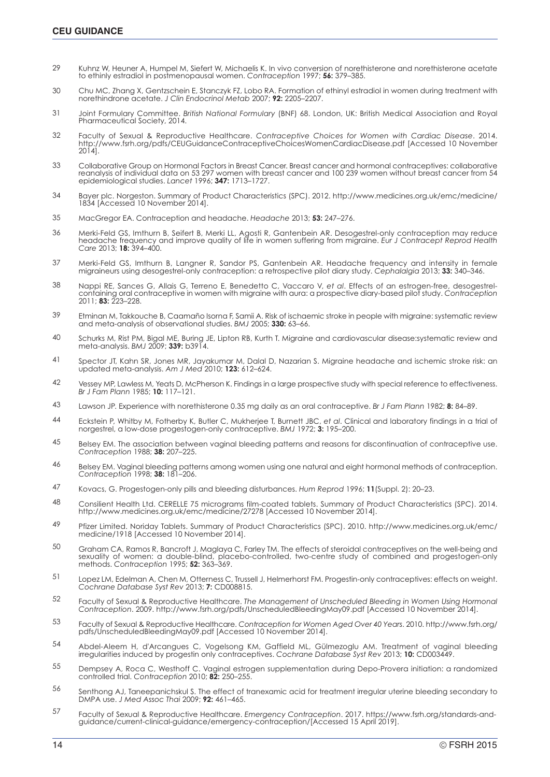- 29 Kuhnz W, Heuner A, Humpel M, Siefert W, Michaelis K. In vivo conversion of norethisterone and norethisterone acetate to ethinly estradiol in postmenopausal women. *Contraception* 1997; **56:** 379–385.
- 30 Chu MC, Zhang X, Gentzschein E, Stanczyk FZ, Lobo RA. Formation of ethinyl estradiol in women during treatment with norethindrone acetate. *J Clin Endocrinol Metab* 2007; **92:** 2205–2207.
- 31 Joint Formulary Committee. *British National Formulary* (BNF) 68. London, UK: British Medical Association and Royal Pharmaceutical Society, 2014.
- 32 Faculty of Sexual & Reproductive Healthcare. *Contraceptive Choices for Women with Cardiac Disease*. 2014. http://www.fsrh.org/pdfs/CEUGuidanceContraceptiveChoicesWomenCardiacDisease.pdf [Accessed 10 November 2014].
- 33 Collaborative Group on Hormonal Factors in Breast Cancer. Breast cancer and hormonal contraceptives: collaborative reanalysis of individual data on 53 297 women with breast cancer and 100 239 women without breast cancer from 54 epidemiological studies. *Lancet* 1996; **347:** 1713–1727.
- 34 Bayer plc. Norgeston. Summary of Product Characteristics (SPC). 2012. http://www.medicines.org.uk/emc/medicine/ 1834 [Accessed 10 November 2014].
- 35 MacGregor EA. Contraception and headache. *Headache* 2013; **53:** 247–276.
- 36 Merki-Feld GS, Imthurn B, Seifert B, Merki LL, Agosti R, Gantenbein AR. Desogestrel-only contraception may reduce headache frequency and improve quality of life in women suffering from migraine. *Eur J Contracept Reprod Health Care* 2013; **18:** 394–400.
- 37 Merki-Feld GS, Imthurn B, Langner R, Sandor PS, Gantenbein AR. Headache frequency and intensity in female migraineurs using desogestrel-only contraception: a retrospective pilot diary study. *Cephalalgia* 2013; **33:** 340–346.
- 38 Nappi RE, Sances G, Allais G, Terreno E, Benedetto C, Vaccaro V, *et al*. Effects of an estrogen-free, desogestrelcontaining oral contraceptive in women with migraine with aura: a prospective diary-based pilot study. *Contraception* 2011; **83:** 223–228.
- 39 Etminan M, Takkouche B, Caamaño Isorna F, Samii A. Risk of ischaemic stroke in people with migraine: systematic review and meta-analysis of observational studies. *BMJ* 2005; **330:** 63–66.
- 40 Schurks M, Rist PM, Bigal ME, Buring JE, Lipton RB, Kurth T. Migraine and cardiovascular disease:systematic review and meta-analysis. *BMJ* 2009; **339:** b3914.
- 41 Spector JT, Kahn SR, Jones MR, Jayakumar M, Dalal D, Nazarian S. Migraine headache and ischemic stroke risk: an updated meta-analysis. *Am J Med* 2010; **123:** 612–624.
- 42 Vessey MP, Lawless M, Yeats D, McPherson K. Findings in a large prospective study with special reference to effectiveness. *Br J Fam Plann* 1985; **10:** 117–121.
- 43 Lawson JP. Experience with norethisterone 0.35 mg daily as an oral contraceptive. *Br J Fam Plann* 1982; **8:** 84–89.
- 44 Eckstein P, Whitby M, Fotherby K, Butler C, Mukherjee T, Burnett JBC, *et al*. Clinical and laboratory findings in a trial of norgestrel, a low-dose progestogen-only contraceptive. *BMJ* 1972; **3:** 195–200.
- 45 Belsey EM. The association between vaginal bleeding patterns and reasons for discontinuation of contraceptive use. *Contraception* 1988; **38:** 207–225.
- 46 Belsey EM. Vaginal bleeding patterns among women using one natural and eight hormonal methods of contraception. *Contraception* 1998; **38:** 181–206.
- 47 Kovacs, G. Progestogen-only pills and bleeding disturbances. *Hum Reprod* 1996; **11**(Suppl. 2): 20–23.
- 48 Consilient Health Ltd. CERELLE 75 micrograms film-coated tablets. Summary of Product Characteristics (SPC). 2014. http://www.medicines.org.uk/emc/medicine/27278 [Accessed 10 November 2014].
- 49 Pfizer Limited. Noriday Tablets. Summary of Product Characteristics (SPC). 2010. http://www.medicines.org.uk/emc/ medicine/1918 [Accessed 10 November 2014].
- 50 Graham CA, Ramos R, Bancroft J, Maglaya C, Farley TM. The effects of steroidal contraceptives on the well-being and sexuality of women: a double-blind, placebo-controlled, two-centre study of combined and progestogen-only methods. *Contraception* 1995; **52:** 363–369.
- 51 Lopez LM, Edelman A, Chen M, Otterness C, Trussell J, Helmerhorst FM. Progestin-only contraceptives: effects on weight. *Cochrane Database Syst Rev* 2013; **7:** CD008815.
- 52 Faculty of Sexual & Reproductive Healthcare. *The Management of Unscheduled Bleeding in Women Using Hormonal Contraception*. 2009. http://www.fsrh.org/pdfs/UnscheduledBleedingMay09.pdf [Accessed 10 November 2014].
- 53 Faculty of Sexual & Reproductive Healthcare. *Contraception for Women Aged Over 40 Years*. 2010. http://www.fsrh.org/ pdfs/UnscheduledBleedingMay09.pdf [Accessed 10 November 2014].
- 54 Abdel-Aleem H, d'Arcangues C, Vogelsong KM, Gaffield ML, Gülmezoglu AM. Treatment of vaginal bleeding irregularities induced by progestin only contraceptives. *Cochrane Database Syst Rev* 2013; **10:** CD003449.
- 55 Dempsey A, Roca C, Westhoff C. Vaginal estrogen supplementation during Depo-Provera initiation: a randomized controlled trial. *Contraception* 2010; **82:** 250–255.
- 56 Senthong AJ, Taneepanichskul S. The effect of tranexamic acid for treatment irregular uterine bleeding secondary to DMPA use. *J Med Assoc Thai* 2009; **92:** 461–465.
- 57 Faculty of Sexual & Reproductive Healthcare. *Emergency Contraception*. 2017. https://www.fsrh.org/standards-andguidance/current-clinical-guidance/emergency-contraception/[Accessed 15 April 2019].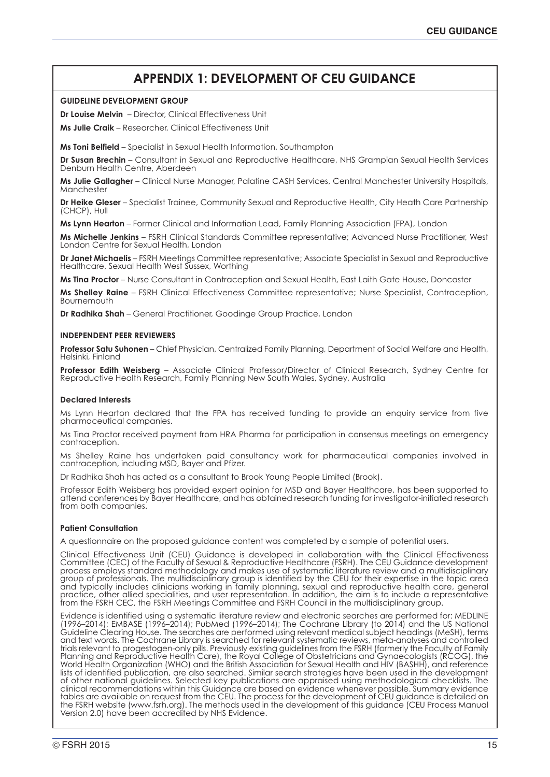# **APPENDIX 1: DEVELOPMENT OF CEU GUIDANCE**

#### **GUIDELINE DEVELOPMENT GROUP**

**Dr Louise Melvin** – Director, Clinical Effectiveness Unit

**Ms Julie Craik** – Researcher, Clinical Effectiveness Unit

**Ms Toni Belfield** – Specialist in Sexual Health Information, Southampton

**Dr Susan Brechin** – Consultant in Sexual and Reproductive Healthcare, NHS Grampian Sexual Health Services Denburn Health Centre, Aberdeen

**Ms Julie Gallagher** – Clinical Nurse Manager, Palatine CASH Services, Central Manchester University Hospitals, **Manchester** 

**Dr Heike Gleser** – Specialist Trainee, Community Sexual and Reproductive Health, City Heath Care Partnership (CHCP), Hull

**Ms Lynn Hearton** – Former Clinical and Information Lead, Family Planning Association (FPA), London

**Ms Michelle Jenkins** – FSRH Clinical Standards Committee representative; Advanced Nurse Practitioner, West London Centre for Sexual Health, London

**Dr Janet Michaelis** – FSRH Meetings Committee representative; Associate Specialist in Sexual and Reproductive Healthcare, Sexual Health West Sussex, Worthing

**Ms Tina Proctor** – Nurse Consultant in Contraception and Sexual Health, East Laith Gate House, Doncaster

**Ms Shelley Raine** – FSRH Clinical Effectiveness Committee representative; Nurse Specialist, Contraception, **Bournemouth** 

**Dr Radhika Shah** – General Practitioner, Goodinge Group Practice, London

#### **INDEPENDENT PEER REVIEWERS**

**Professor Satu Suhonen** – Chief Physician, Centralized Family Planning, Department of Social Welfare and Health, Helsinki, Finland

**Professor Edith Weisberg** – Associate Clinical Professor/Director of Clinical Research, Sydney Centre for Reproductive Health Research, Family Planning New South Wales, Sydney, Australia

#### **Declared Interests**

Ms Lynn Hearton declared that the FPA has received funding to provide an enquiry service from five pharmaceutical companies.

Ms Tina Proctor received payment from HRA Pharma for participation in consensus meetings on emergency contraception.

Ms Shelley Raine has undertaken paid consultancy work for pharmaceutical companies involved in contraception, including MSD, Bayer and Pfizer.

Dr Radhika Shah has acted as a consultant to Brook Young People Limited (Brook).

Professor Edith Weisberg has provided expert opinion for MSD and Bayer Healthcare, has been supported to attend conferences by Bayer Healthcare, and has obtained research funding for investigator-initiated research from both companies.

#### **Patient Consultation**

A questionnaire on the proposed guidance content was completed by a sample of potential users.

Clinical Effectiveness Unit (CEU) Guidance is developed in collaboration with the Clinical Effectiveness Committee (CEC) of the Faculty of Sexual & Reproductive Healthcare (FSRH). The CEU Guidance development process employs standard methodology and makes use of systematic literature review and a multidisciplinary group of professionals. The multidisciplinary group is identified by the CEU for their expertise in the topic area and typically includes clinicians working in family planning, sexual and reproductive health care, general practice, other allied specialities, and user representation. In addition, the aim is to include a representative from the FSRH CEC, the FSRH Meetings Committee and FSRH Council in the multidisciplinary group.

Evidence is identified using a systematic literature review and electronic searches are performed for: MEDLINE (1996–2014); EMBASE (1996–2014); PubMed (1996–2014); The Cochrane Library (to 2014) and the US National Guideline Clearing House. The searches are performed using relevant medical subject headings (MeSH), terms and text words. The Cochrane Library is searched for relevant systematic reviews, meta-analyses and controlled trials relevant to progestogen-only pills. Previously existing guidelines from the FSRH (formerly the Faculty of Family Planning and Reproductive Health Care), the Royal College of Obstetricians and Gynaecologists (RCOG), the World Health Organization (WHO) and the British Association for Sexual Health and HIV (BASHH), and reference lists of identified publication, are also searched. Similar search strategies have been used in the development of other national guidelines. Selected key publications are appraised using methodological checklists. The clinical recommendations within this Guidance are based on evidence whenever possible. Summary evidence tables are available on request from the CEU. The process for the development of CEU guidance is detailed on the FSRH website (www.fsrh.org). The methods used in the development of this guidance (CEU Process Manual Version 2.0) have been accredited by NHS Evidence.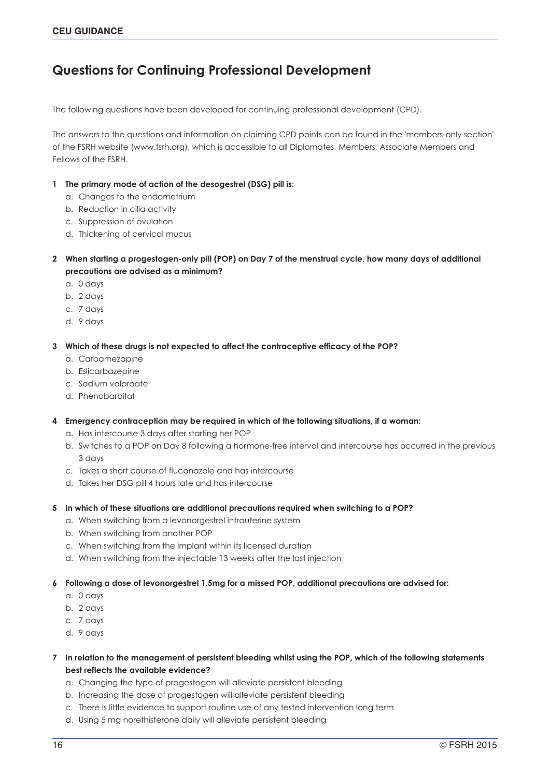# **Questions for Continuing Professional Development**

The following questions have been developed for continuing professional development (CPD).

The answers to the questions and information on claiming CPD points can be found in the 'members-only section' of the FSRH website (www.fsrh.org), which is accessible to all Diplomates, Members, Associate Members and Fellows of the FSRH.

### **1 The primary mode of action of the desogestrel (DSG) pill is:**

- a. Changes to the endometrium
- b. Reduction in cilia activity
- c. Suppression of ovulation
- d. Thickening of cervical mucus
- **2 When starting a progestogen-only pill (POP) on Day 7 of the menstrual cycle, how many days of additional precautions are advised as a minimum?**
	- a. 0 days
	- b. 2 days
	- c. 7 days
	- d. 9 days

**3 Which of these drugs is not expected to affect the contraceptive efficacy of the POP?**

- a. Carbamezapine
- b. Eslicarbazepine
- c. Sodium valproate
- d. Phenobarbital

#### **4 Emergency contraception may be required in which of the following situations, if a woman:**

- a. Has intercourse 3 days after starting her POP
- b. Switches to a POP on Day 8 following a hormone-free interval and intercourse has occurred in the previous 3 days
- c. Takes a short course of fluconazole and has intercourse
- d. Takes her DSG pill 4 hours late and has intercourse
- **5 In which of these situations are additional precautions required when switching to a POP?**
	- a. When switching from a levonorgestrel intrauterine system
	- b. When switching from another POP
	- c. When switching from the implant within its licensed duration
	- d. When switching from the injectable 13 weeks after the last injection

#### **6 Following a dose of levonorgestrel 1.5mg for a missed POP, additional precautions are advised for:**

- a. 0 days
- b. 2 days
- c. 7 days
- d. 9 days

## **7 In relation to the management of persistent bleeding whilst using the POP, which of the following statements best reflects the available evidence?**

- a. Changing the type of progestogen will alleviate persistent bleeding
- b. Increasing the dose of progestogen will alleviate persistent bleeding
- c. There is little evidence to support routine use of any tested intervention long term
- d. Using 5 mg norethisterone daily will alleviate persistent bleeding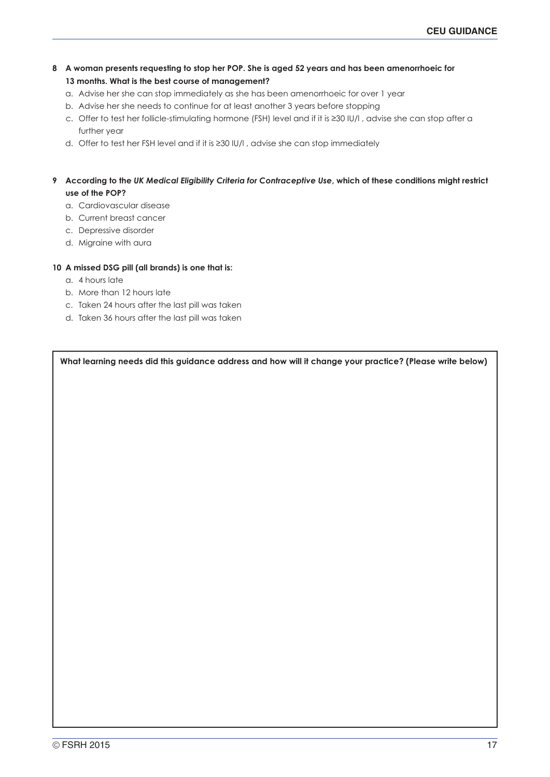- **8 A woman presents requesting to stop her POP. She is aged 52 years and has been amenorrhoeic for 13 months. What is the best course of management?**
	- a. Advise her she can stop immediately as she has been amenorrhoeic for over 1 year
	- b. Advise her she needs to continue for at least another 3 years before stopping
	- c. Offer to test her follicle-stimulating hormone (FSH) level and if it is ≥30 IU/l , advise she can stop after a further year
	- d. Offer to test her FSH level and if it is ≥30 IU/l , advise she can stop immediately

# **9 According to the** *UK Medical Eligibility Criteria for Contraceptive Use***, which of these conditions might restrict use of the POP?**

- a. Cardiovascular disease
- b. Current breast cancer
- c. Depressive disorder
- d. Migraine with aura

# **10 A missed DSG pill (all brands) is one that is:**

- a. 4 hours late
- b. More than 12 hours late
- c. Taken 24 hours after the last pill was taken
- d. Taken 36 hours after the last pill was taken

**What learning needs did this guidance address and how will it change your practice? (Please write below)**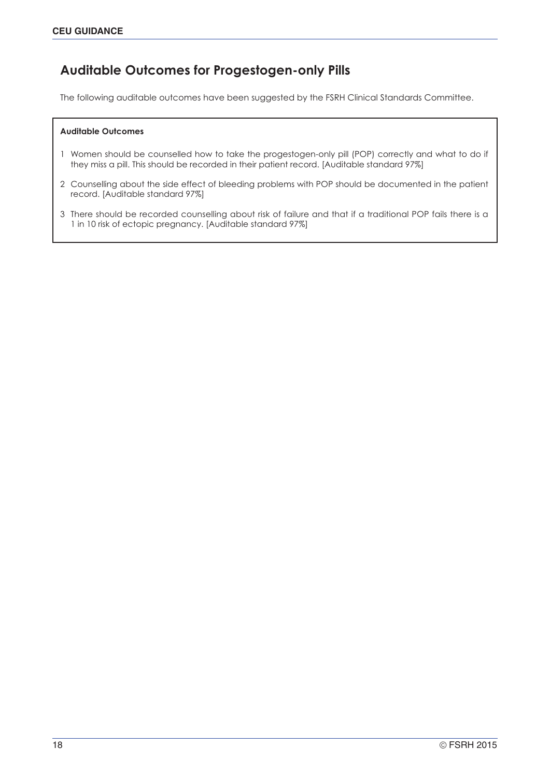# **Auditable Outcomes for Progestogen-only Pills**

The following auditable outcomes have been suggested by the FSRH Clinical Standards Committee.

#### **Auditable Outcomes**

- 1 Women should be counselled how to take the progestogen-only pill (POP) correctly and what to do if they miss a pill. This should be recorded in their patient record. [Auditable standard 97%]
- 2 Counselling about the side effect of bleeding problems with POP should be documented in the patient record. [Auditable standard 97%]
- 3 There should be recorded counselling about risk of failure and that if a traditional POP fails there is a 1 in 10 risk of ectopic pregnancy. [Auditable standard 97%]